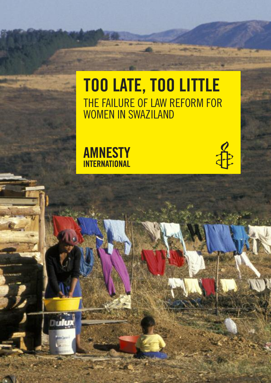# **TOO LATE, TOO LITTLE** THE FAILURE OF LAW REFORM FOR WOMEN IN SWAZILAND



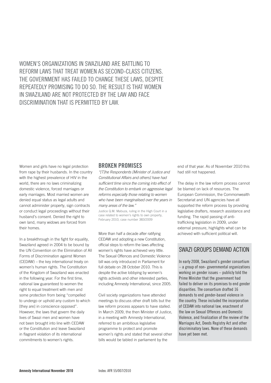WOMEN'S ORGANIZATIONS IN SWAZILAND ARE bATTLING TO REFORM LAWS THAT TREAT WOMEN AS SECOND-CLASS CITIZENS. THE GOVERNMENT HAS FAILED TO CHANGE THESE LAWS, DESPITE REPEATEDLy PROMISING TO DO SO. THE RESULT IS THAT WOMEN IN SWAZILAND ARE NOT PROTECTED BY THE LAW AND FACE DISCRIMINATION THAT IS PERMITTED BY LAW.

Women and girls have no legal protection from rape by their husbands. In the country with the highest prevalence of HIV in the world, there are no laws criminalizing domestic violence, forced marriages or early marriages. Most married women are denied equal status as legal adults and cannot administer property, sign contracts or conduct legal proceedings without their husband's consent. Denied the right to own land, many widows are forced from their homes.

In a breakthrough in the fight for equality, Swaziland agreed in 2004 to be bound by the UN Convention on the Elimination of All Forms of Discrimination against Women (CEDAW) – the key international treaty on women's human rights. The Constitution of the Kingdom of Swaziland was enacted in the following year. For the first time, national law guaranteed to women the right to equal treatment with men and some protection from being "compelled to undergo or uphold any custom to which [they are] in conscience opposed". However, the laws that govern the daily lives of Swazi men and women have not been brought into line with CEDAW or the Constitution and leave Swaziland in flagrant violation of its international commitments to women's rights.

#### **BROKEN PROMISES**

"[T]he Respondents [Minister of Justice and Constitutional Affairs and others] have had sufficient time since the coming into effect of the Constitution to embark on aggressive legal reforms especially those relating to women who have been marginalised over the years in many areas of the law."

Justice Q.M. Mabuza, ruling in the High Court in a case related to women's rights to own property, February 2010, case number 383/2009

More than half a decade after ratifying CEDAW and adopting a new Constitution, official steps to reform the laws affecting women's rights have achieved very little. The Sexual Offences and Domestic Violence bill was only introduced in Parliament for full debate on 28 October 2010. This is despite the active lobbying by women's rights activists and other interested parties, including Amnesty International, since 2005.

Civil society organizations have attended meetings to discuss other draft bills but the law reform process appears to have stalled. In March 2009, the then Minister of Justice, in a meeting with Amnesty International, referred to an ambitious legislative programme to protect and promote women's rights and stated that several other bills would be tabled in parliament by the

end of that year. As of November 2010 this had still not happened.

The delay in the law reform process cannot be blamed on lack of resources. The European Commission, the Commonwealth Secretariat and UN agencies have all supported the reform process by providing legislative drafters, research assistance and funding. The rapid passing of antitrafficking legislation in 2009, under external pressure, highlights what can be achieved with sufficient political will.

# SWAZI GROUPS DEMAND ACTION

In early 2008, Swaziland's gender consortium – a group of non- governmental organizations working on gender issues – publicly told the Prime Minister that the government had failed to deliver on its promises to end gender disparities. The consortium drafted 16 demands to end gender-based violence in the country. These included the incorporation of CEDAW into national law, enactment of the law on Sexual Offences and Domestic Violence, and finalization of the review of the Marriages Act, Deeds Registry Act and other discriminatory laws. None of these demands have yet been met.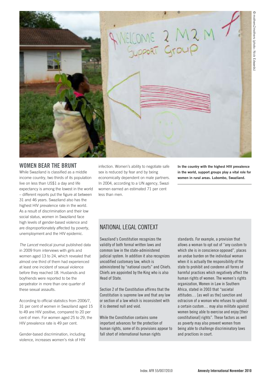

#### **WOMEN BEAR THE BRUNT**

While Swaziland is classified as a middle income country, two thirds of its population live on less than US\$1 a day and life expectancy is among the lowest in the world – different reports put the figure at between 31 and 46 years. Swaziland also has the highest HIV prevalence rate in the world. As a result of discrimination and their low social status, women in Swaziland face high levels of gender-based violence and are disproportionately affected by poverty, unemployment and the HIV epidemic.

The Lancet medical journal published data in 2009 from interviews with girls and women aged 13 to 24, which revealed that almost one third of them had experienced at least one incident of sexual violence before they reached 18. Husbands and boyfriends were reported to be the perpetrator in more than one quarter of these sexual assaults.

According to official statistics from 2006/7, 31 per cent of women in Swaziland aged 15 to 49 are HIV positive, compared to 20 per cent of men. For women aged 25 to 29, the HIV prevalence rate is 49 per cent.

Gender-based discrimination, including violence, increases women's risk of HIV

infection. Women's ability to negotiate safe sex is reduced by fear and by being economically dependent on male partners. In 2004, according to a UN agency, Swazi women earned an estimated 71 per cent less than men.

**In the country with the highest HIV prevalence in the world, support groups play a vital role for women in rural areas. Lubombo, Swaziland.**

## NATIONAL LEGAL CONTEXT

Swaziland's Constitution recognizes the validity of both formal written laws and common law in the state-administered judicial system. In addition it also recognizes uncodified customary law, which is administered by "national courts" and Chiefs. Chiefs are appointed by the King who is also Head of State.

Section 2 of the Constitution affirms that the Constitution is supreme law and that any law or section of a law which is inconsistent with it is deemed null and void.

While the Constitution contains some important advances for the protection of human rights, some of its provisions appear to fall short of international human rights

standards. For example, a provision that allows a woman to opt out of "any custom to which she is in conscience opposed", places an undue burden on the individual woman when it is actually the responsibility of the state to prohibit and condemn all forms of harmful practices which negatively affect the human rights of women. The women's rights organization, Women in Law in Southern Africa, stated in 2003 that "societal attitudes… [as well as the] sanction and ostracism of a woman who refuses to uphold a certain custom… may also militate against women being able to exercise and enjoy [their constitutional] rights". These factors as well as poverty may also prevent women from being able to challenge discriminatory laws and practices in court.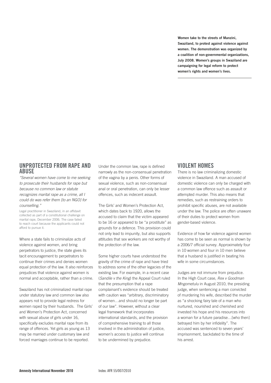**Women take to the streets of Manzini, Swaziland, to protest against violence against women. The demonstration was organized by a coalition of non-governmental organizations, July 2008. Women's groups in Swaziland are campaigning for legal reform to protect women's rights and women's lives.**

#### **UNPROTECTED FROM RAPE AND ABUSE**

"Several women have come to me seeking to prosecute their husbands for rape but because no common law or statute recognizes marital rape as a crime, all I could do was refer them [to an NGO] for counselling."

Legal practitioner in Swaziland, in an affidavit collected as part of a constitutional challenge on marital rape, December 2006. The case failed to reach court because the applicants could not afford to pursue it.

Where a state fails to criminalize acts of violence against women, and bring perpetrators to justice, the state gives its tacit encouragement to perpetrators to continue their crimes and denies women equal protection of the law. It also reinforces prejudices that violence against women is normal and acceptable, rather than a crime.

Swaziland has not criminalized marital rape under statutory law and common law also appears not to provide legal redress for women raped by their husbands. The Girls' and Women's Protection Act, concerned with sexual abuse of girls under 16, specifically excludes marital rape from its range of offences. Yet girls as young as 13 may be married under customary law and forced marriages continue to be reported.

Under the common law, rape is defined narrowly as the non-consensual penetration of the vagina by a penis. Other forms of sexual violence, such as non-consensual anal or oral penetration, can only be lesser offences, such as indecent assault.

The Girls' and Women's Protection Act, which dates back to 1920, allows the accused to claim that the victim appeared to be 16 or appeared to be "a prostitute" as grounds for a defence. This provision could not only lead to impunity, but also supports attitudes that sex workers are not worthy of the protection of the law.

Some higher courts have understood the gravity of the crime of rape and have tried to address some of the other legacies of the existing law. For example, in a recent case (Sandile v the King) the Appeal Court ruled that the presumption that a rape complainant's evidence should be treated with caution was "arbitrary, discriminatory of women…and should no longer be part of our law". However, without a clear legal framework that incorporates international standards, and the provision of comprehensive training to all those involved in the administration of justice, women's access to justice will continue to be undermined by prejudice.

## **VIOLENT HOMES**

There is no law criminalizing domestic violence in Swaziland. A man accused of domestic violence can only be charged with a common law offence such as assault or attempted murder. This also means that remedies, such as restraining orders to prohibit specific abuses, are not available under the law. The police are often unaware of their duties to protect women from gender-based violence.

Evidence of how far violence against women has come to be seen as normal is shown by a 2006/7 official survey. Approximately four in 10 women and four in 10 men believe that a husband is justified in beating his wife in some circumstances.

Judges are not immune from prejudice. In the High Court case, Rex v Goodman Mngometulu in August 2010, the presiding judge, when sentencing a man convicted of murdering his wife, described the murder as "a shocking fairy tale of a man who nurtured, nourished and cherished and invested his hope and his resources into a woman for a future paradise…[who then] betrayed him by her infidelity". The accused was sentenced to seven years' imprisonment, backdated to the time of his arrest.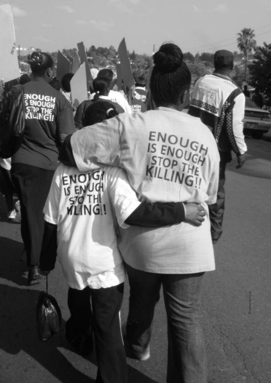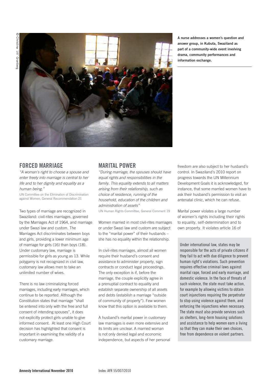

**A nurse addresses a women's question and answer group, in Kubuta, Swaziland as part of a community-wide event involving drama, community performances and information exchange.**

## **FORCED MARRIAGE**

"A woman's right to choose a spouse and enter freely into marriage is central to her life and to her dignity and equality as a human being."

UN Committee on the Elimination of Discrimination against Women, General Recommendation 21

Two types of marriage are recognized in Swaziland: civil-rites marriages, governed by the Marriages Act of 1964, and marriage under Swazi law and custom. The Marriages Act discriminates between boys and girls, providing a lower minimum age of marriage for girls (16) than boys (18). Under customary law, marriage is permissible for girls as young as 13. While polygamy is not recognized in civil law, customary law allows men to take an unlimited number of wives.

There is no law criminalizing forced marriages, including early marriages, which continue to be reported. Although the Constitution states that marriage "shall be entered into only with the free and full consent of intending spouses", it does not explicitly protect girls unable to give informed consent. At least one High Court decision has highlighted that consent is important in examining the validity of a customary marriage.

## **MARITAL POWER**

"During marriage, the spouses should have equal rights and responsibilities in the family. This equality extends to all matters arising from their relationship, such as choice of residence, running of the household, education of the children and administration of assets"

UN Human Rights Committee, General Comment 19

Women married in most civil-rites marriages or under Swazi law and custom are subject to the "marital power" of their husbands – she has no equality within the relationship.

In civil-rites marriages, almost all women require their husband's consent and assistance to administer property, sign contracts or conduct legal proceedings. The only exception is if, before the marriage, the couple explicitly agree in a prenuptial contract to equality and establish separate ownership of all assets and debts (establish a marriage "outside of community of property"). Few women know that this option is available to them.

A husband's marital power in customary law marriages is even more extensive and its limits are unclear. A married woman is not only denied legal and economic independence, but aspects of her personal

freedom are also subject to her husband's control. In Swaziland's 2010 report on progress towards the UN Millennium Development Goals it is acknowledged, for instance, that some married women have to ask their husband's permission to visit an antenatal clinic, which he can refuse.

Marital power violates a large number of women's rights including their rights to equality, self-determination and to own property. It violates article 16 of

Under international law, states may be responsible for the acts of private citizens if they fail to act with due diligence to prevent human right's violations. Such prevention requires effective criminal laws against marital rape, forced and early marriage, and domestic violence. In the face of threats of such violence, the state must take action, for example by allowing victims to obtain court injunctions requiring the perpetrator to stop using violence against them, and enforcing the injunctions when necessary. The state must also provide services such as shelters, long-term housing solutions and assistance to help women earn a living so that they can make their own choices, free from dependence on violent partners.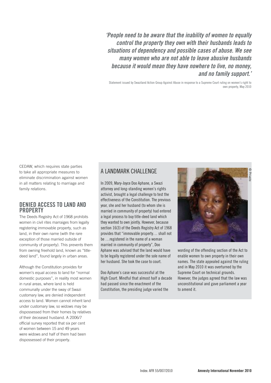**'People need to be aware that the inability of women to equally control the property they own with their husbands leads to situations of dependency and possible cases of abuse. We see many women who are not able to leave abusive husbands because it would mean they have nowhere to live, no money, and no family support.'**

Statement issued by Swaziland Action Group Against Abuse in response to a Supreme Court ruling on women's right to own property, May 2010

CEDAW, which requires state parties to take all appropriate measures to eliminate discrimination against women in all matters relating to marriage and family relations.

## **DENIED ACCESS TO LAND AND PROPERTY**

The Deeds Registry Act of 1968 prohibits women in civil rites marraiges from legally registering immovable property, such as land, in their own name (with the rare exception of those married outside of community of property). This prevents them from owning freehold land, known as "titledeed land", found largely in urban areas.

Although the Constitution provides for women's equal access to land for "normal domestic purposes", in reality most women in rural areas, where land is held communally under the sway of Swazi customary law, are denied independent access to land. Women cannot inherit land under customary law, so widows may be dispossessed from their homes by relatives of their deceased husband. A 2006/7 official survey reported that six per cent of women between 15 and 49 years were widows and half of them had been dispossessed of their property.

## A LANDMARK CHALLENGE

In 2009, Mary-Joyce Doo Aphane, a Swazi attorney and long-standing women's rights activist, brought a legal challenge to test the effectiveness of the Constitution. The previous year, she and her husband (to whom she is married in community of property) had entered a legal process to buy title-deed land which they wanted to own jointly. However, because section 16(3) of the Deeds Registry Act of 1968 provides that "immovable property… shall not be …registered in the name of a woman married in community of property", Doo Aphane was advised that the land would have to be legally registered under the sole name of her husband. She took the case to court.

Doo Aphane's case was successful at the High Court. Mindful that almost half a decade had passed since the enactment of the Constitution, the presiding judge varied the



wording of the offending section of the Act to enable women to own property in their own names. The state appealed against the ruling and in May 2010 it was overturned by the Supreme Court on technical grounds. However, the judges agreed that the law was unconstitutional and gave parliament a year to amend it.